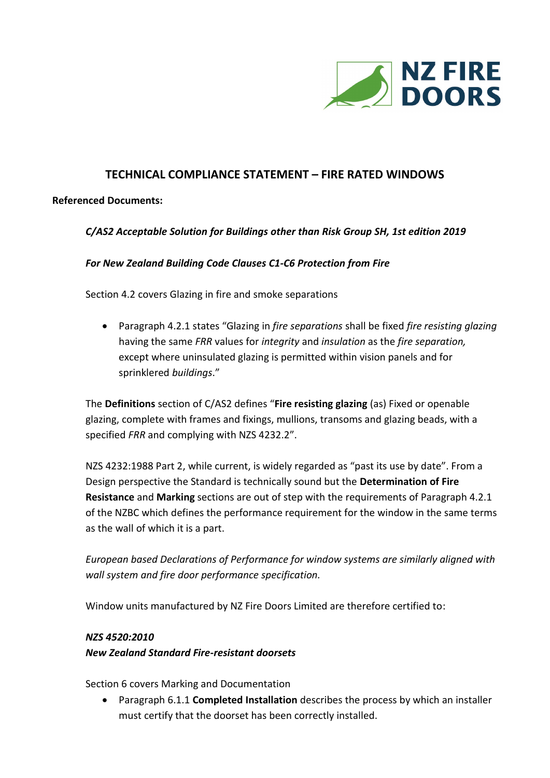

## **TECHNICAL COMPLIANCE STATEMENT – FIRE RATED WINDOWS**

## **Referenced Documents:**

### *C/AS2 Acceptable Solution for Buildings other than Risk Group SH, 1st edition 2019*

#### *For New Zealand Building Code Clauses C1-C6 Protection from Fire*

Section 4.2 covers Glazing in fire and smoke separations

 Paragraph 4.2.1 states "Glazing in *fire separations* shall be fixed *fire resisting glazing* having the same *FRR* values for *integrity* and *insulation* as the *fire separation,* except where uninsulated glazing is permitted within vision panels and for sprinklered *buildings*."

The **Definitions** section of C/AS2 defines "**Fire resisting glazing** (as) Fixed or openable glazing, complete with frames and fixings, mullions, transoms and glazing beads, with a specified *FRR* and complying with NZS 4232.2".

NZS 4232:1988 Part 2, while current, is widely regarded as "past its use by date". From a Design perspective the Standard is technically sound but the **Determination of Fire Resistance** and **Marking** sections are out of step with the requirements of Paragraph 4.2.1 of the NZBC which defines the performance requirement for the window in the same terms as the wall of which it is a part.

*European based Declarations of Performance for window systems are similarly aligned with wall system and fire door performance specification.* 

Window units manufactured by NZ Fire Doors Limited are therefore certified to:

#### *NZS 4520:2010*

## *New Zealand Standard Fire-resistant doorsets*

Section 6 covers Marking and Documentation

 Paragraph 6.1.1 **Completed Installation** describes the process by which an installer must certify that the doorset has been correctly installed.